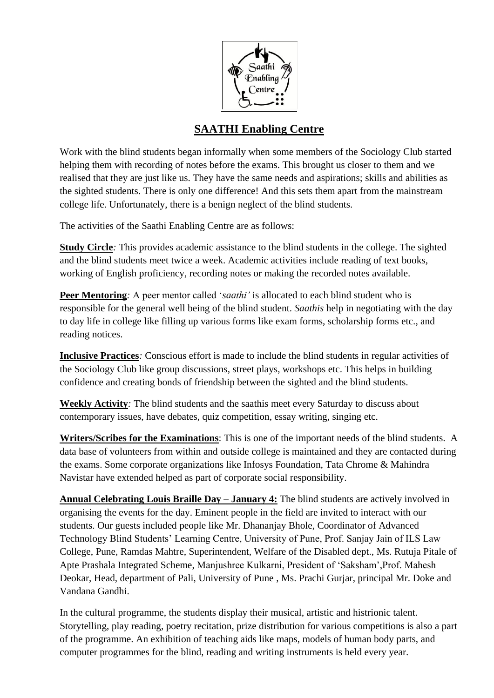

## **SAATHI Enabling Centre**

Work with the blind students began informally when some members of the Sociology Club started helping them with recording of notes before the exams. This brought us closer to them and we realised that they are just like us. They have the same needs and aspirations; skills and abilities as the sighted students. There is only one difference! And this sets them apart from the mainstream college life. Unfortunately, there is a benign neglect of the blind students.

The activities of the Saathi Enabling Centre are as follows:

**Study Circle***:* This provides academic assistance to the blind students in the college. The sighted and the blind students meet twice a week. Academic activities include reading of text books, working of English proficiency, recording notes or making the recorded notes available.

**Peer Mentoring**: A peer mentor called '*saathi*' is allocated to each blind student who is responsible for the general well being of the blind student. *Saathis* help in negotiating with the day to day life in college like filling up various forms like exam forms, scholarship forms etc., and reading notices.

**Inclusive Practices***:* Conscious effort is made to include the blind students in regular activities of the Sociology Club like group discussions, street plays, workshops etc. This helps in building confidence and creating bonds of friendship between the sighted and the blind students.

**Weekly Activity***:* The blind students and the saathis meet every Saturday to discuss about contemporary issues, have debates, quiz competition, essay writing, singing etc.

**Writers/Scribes for the Examinations**: This is one of the important needs of the blind students. A data base of volunteers from within and outside college is maintained and they are contacted during the exams. Some corporate organizations like Infosys Foundation, Tata Chrome & Mahindra Navistar have extended helped as part of corporate social responsibility.

**Annual Celebrating Louis Braille Day – January 4:** The blind students are actively involved in organising the events for the day. Eminent people in the field are invited to interact with our students. Our guests included people like Mr. Dhananjay Bhole, Coordinator of Advanced Technology Blind Students" Learning Centre, University of Pune, Prof. Sanjay Jain of ILS Law College, Pune, Ramdas Mahtre, Superintendent, Welfare of the Disabled dept., Ms. Rutuja Pitale of Apte Prashala Integrated Scheme, Manjushree Kulkarni, President of "Saksham",Prof. Mahesh Deokar, Head, department of Pali, University of Pune , Ms. Prachi Gurjar, principal Mr. Doke and Vandana Gandhi.

In the cultural programme, the students display their musical, artistic and histrionic talent. Storytelling, play reading, poetry recitation, prize distribution for various competitions is also a part of the programme. An exhibition of teaching aids like maps, models of human body parts, and computer programmes for the blind, reading and writing instruments is held every year.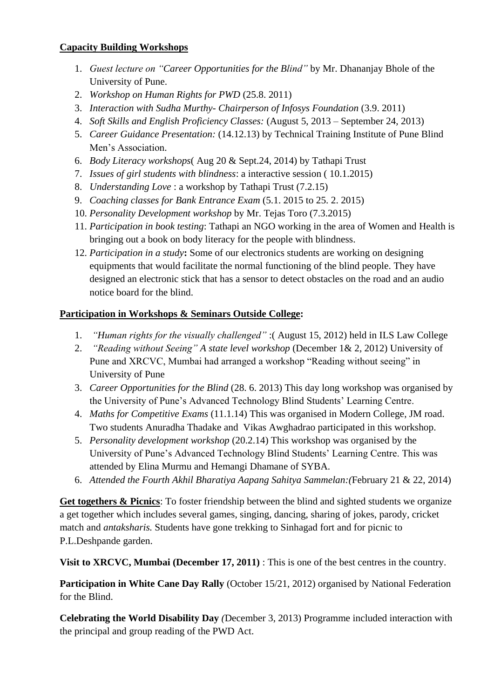## **Capacity Building Workshops**

- 1. *Guest lecture on "Career Opportunities for the Blind"* by Mr. Dhananjay Bhole of the University of Pune.
- 2. *Workshop on Human Rights for PWD* (25.8. 2011)
- 3. *Interaction with Sudha Murthy- Chairperson of Infosys Foundation* (3.9. 2011)
- 4. *Soft Skills and English Proficiency Classes:* (August 5, 2013 September 24, 2013)
- 5. *Career Guidance Presentation:* (14.12.13) by Technical Training Institute of Pune Blind Men"s Association.
- 6. *Body Literacy workshops*( Aug 20 & Sept.24, 2014) by Tathapi Trust
- 7. *Issues of girl students with blindness*: a interactive session ( 10.1.2015)
- 8. *Understanding Love* : a workshop by Tathapi Trust (7.2.15)
- 9. *Coaching classes for Bank Entrance Exam* (5.1. 2015 to 25. 2. 2015)
- 10. *Personality Development workshop* by Mr. Tejas Toro (7.3.2015)
- 11. *Participation in book testing*: Tathapi an NGO working in the area of Women and Health is bringing out a book on body literacy for the people with blindness.
- 12. *Participation in a study***:** Some of our electronics students are working on designing equipments that would facilitate the normal functioning of the blind people. They have designed an electronic stick that has a sensor to detect obstacles on the road and an audio notice board for the blind.

## **Participation in Workshops & Seminars Outside College:**

- 1. *"Human rights for the visually challenged"* :( August 15, 2012) held in ILS Law College
- 2. *"Reading without Seeing" A state level workshop* (December 1& 2, 2012) University of Pune and XRCVC, Mumbai had arranged a workshop "Reading without seeing" in University of Pune
- 3. *Career Opportunities for the Blind* (28. 6. 2013) This day long workshop was organised by the University of Pune"s Advanced Technology Blind Students" Learning Centre.
- 4. *Maths for Competitive Exams* (11.1.14) This was organised in Modern College, JM road. Two students Anuradha Thadake and Vikas Awghadrao participated in this workshop.
- 5. *Personality development workshop* (20.2.14) This workshop was organised by the University of Pune"s Advanced Technology Blind Students" Learning Centre. This was attended by Elina Murmu and Hemangi Dhamane of SYBA.
- 6. *Attended the Fourth Akhil Bharatiya Aapang Sahitya Sammelan:(*February 21 & 22, 2014)

Get togethers & Picnics: To foster friendship between the blind and sighted students we organize a get together which includes several games, singing, dancing, sharing of jokes, parody, cricket match and *antaksharis.* Students have gone trekking to Sinhagad fort and for picnic to P.L.Deshpande garden.

**Visit to XRCVC, Mumbai (December 17, 2011)** : This is one of the best centres in the country.

**Participation in White Cane Day Rally** (October 15/21, 2012) organised by National Federation for the Blind.

**Celebrating the World Disability Day** *(*December 3, 2013) Programme included interaction with the principal and group reading of the PWD Act.